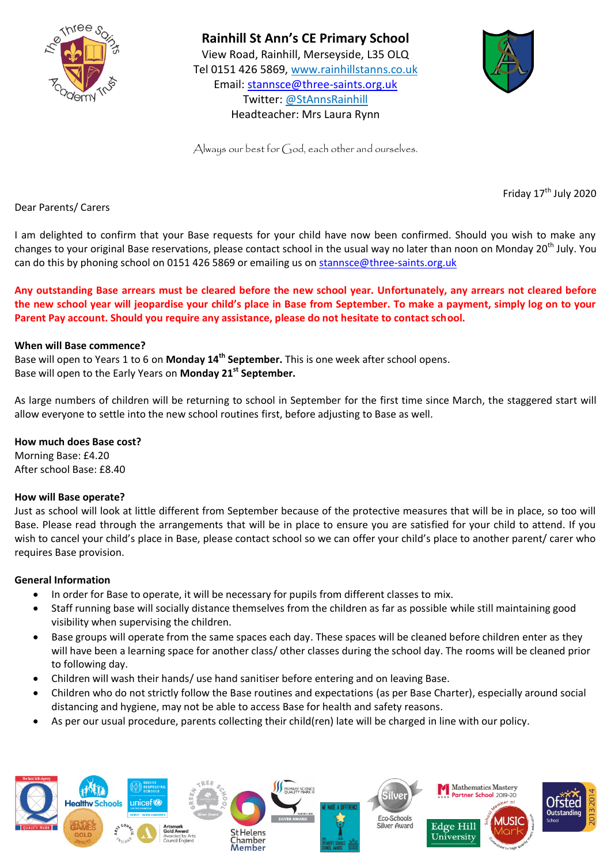

# **Rainhill St Ann's CE Primary School**

View Road, Rainhill, Merseyside, L35 OLQ Tel 0151 426 5869, [www.rainhillstanns.co.uk](http://www.rainhillstanns.co.uk/) Email: [stannsce@three-saints.org.uk](mailto:stannsce@three-saints.org.uk) Twitter: @StAnnsRainhill Headteacher: Mrs Laura Rynn



Always our best for God, each other and ourselves.

Friday 17<sup>th</sup> July 2020

Dear Parents/ Carers

I am delighted to confirm that your Base requests for your child have now been confirmed. Should you wish to make any changes to your original Base reservations, please contact school in the usual way no later than noon on Monday 20<sup>th</sup> July. You can do this by phoning school on 0151 426 5869 or emailing us on [stannsce@three-saints.org.uk](mailto:stannsce@three-saints.org.uk)

**Any outstanding Base arrears must be cleared before the new school year. Unfortunately, any arrears not cleared before the new school year will jeopardise your child's place in Base from September. To make a payment, simply log on to your Parent Pay account. Should you require any assistance, please do not hesitate to contact school.**

## **When will Base commence?**

Base will open to Years 1 to 6 on **Monday 14th September.** This is one week after school opens. Base will open to the Early Years on **Monday 21st September.**

As large numbers of children will be returning to school in September for the first time since March, the staggered start will allow everyone to settle into the new school routines first, before adjusting to Base as well.

## **How much does Base cost?**

Morning Base: £4.20 After school Base: £8.40

#### **How will Base operate?**

Just as school will look at little different from September because of the protective measures that will be in place, so too will Base. Please read through the arrangements that will be in place to ensure you are satisfied for your child to attend. If you wish to cancel your child's place in Base, please contact school so we can offer your child's place to another parent/ carer who requires Base provision.

#### **General Information**

- In order for Base to operate, it will be necessary for pupils from different classes to mix.
- Staff running base will socially distance themselves from the children as far as possible while still maintaining good visibility when supervising the children.
- Base groups will operate from the same spaces each day. These spaces will be cleaned before children enter as they will have been a learning space for another class/ other classes during the school day. The rooms will be cleaned prior to following day.
- Children will wash their hands/ use hand sanitiser before entering and on leaving Base.
- Children who do not strictly follow the Base routines and expectations (as per Base Charter), especially around social distancing and hygiene, may not be able to access Base for health and safety reasons.
- As per our usual procedure, parents collecting their child(ren) late will be charged in line with our policy.